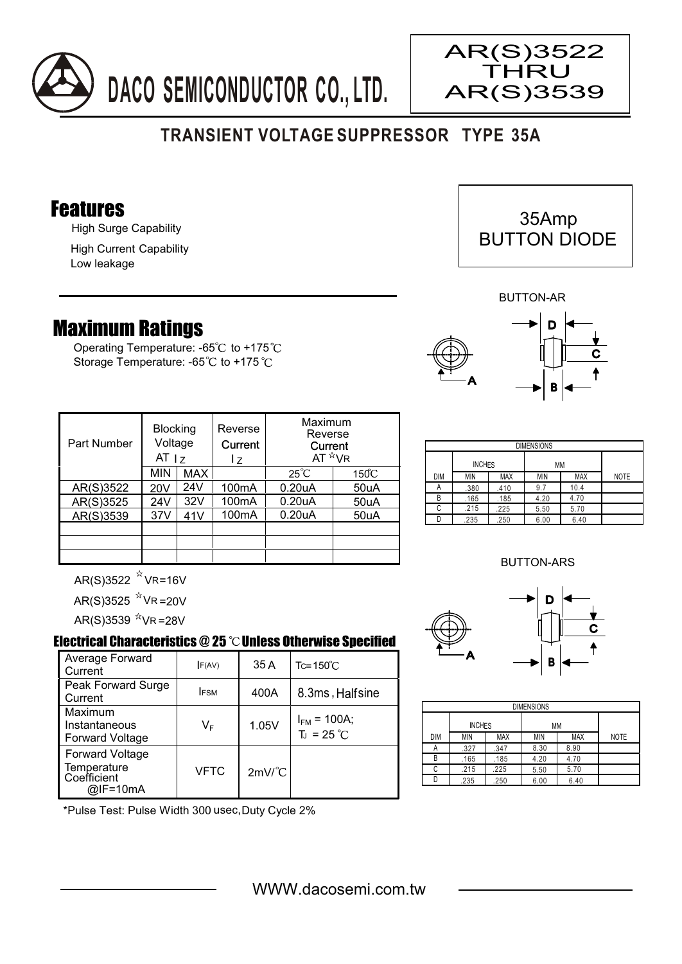



## Features

High Surge Capability

High Current Capability Low leakage

## Maximum Ratings

Operating Temperature: -65 $\degree$ C to +175 $\degree$ C Storage Temperature: -65°C to +175°C

| Part Number | <b>Blocking</b><br>Voltage<br>AT $ z $ |            | Reverse<br>Current<br>I z | Maximum<br>Reverse<br>Current<br>AT $*_{VR}$ |                 |
|-------------|----------------------------------------|------------|---------------------------|----------------------------------------------|-----------------|
|             | <b>MIN</b>                             | <b>MAX</b> |                           | $25^{\circ}C$                                | $150^{\circ}$ C |
| AR(S)3522   | 20V                                    | 24V        | 100 <sub>m</sub> A        | 0.20 <sub>u</sub> A                          | 50uA            |
| AR(S)3525   | 24V                                    | 32V        | 100mA                     | 0.20 <sub>u</sub> A                          | 50uA            |
| AR(S)3539   | 37V                                    | 41V        | 100 <sub>m</sub> A        | 0.20 <sub>u</sub> A                          | 50uA            |
|             |                                        |            |                           |                                              |                 |
|             |                                        |            |                           |                                              |                 |
|             |                                        |            |                           |                                              |                 |

| <b>DIMENSIONS</b> |               |            |            |            |             |
|-------------------|---------------|------------|------------|------------|-------------|
|                   | <b>INCHES</b> |            | MM         |            |             |
| DIM               | MIN           | <b>MAX</b> | <b>MIN</b> | <b>MAX</b> | <b>NOTE</b> |
| А                 | .380          | .410       | 9.7        | 10.4       |             |
| B                 | .165          | .185       | 4.20       | 4.70       |             |
| С                 | .215          | .225       | 5.50       | 5.70       |             |
|                   | .235          | .250       | 6.00       | 6.40       |             |

## BUTTON-ARS



AR(S)3525 ^VR =20V AR(S)3539 <sup>א</sup>VR =28V

## Electrical Characteristics  $@25$   $^{\circ}$ C Unless Otherwise Specified

| Average Forward<br>Current                                       | F(AV)       | 35A                  | $Tc = 150^{\circ}$ C                |
|------------------------------------------------------------------|-------------|----------------------|-------------------------------------|
| Peak Forward Surge<br>Current                                    | <b>IFSM</b> | 400A                 | 8.3ms, Halfsine                     |
| Maximum<br>Instantaneous<br><b>Forward Voltage</b>               | VF          | 1.05V                | $I_{FM}$ = 100A;<br>$T_{J}$ = 25 °C |
| <b>Forward Voltage</b><br>Temperature<br>Coefficient<br>@IF=10mA | <b>VFTC</b> | $2mV$ <sup>°</sup> C |                                     |

\*Pulse Test: Pulse Width 300 usec,Duty Cycle 2%



AR(S)3522 **THRU** AR(S)3539



BUTTON-AR

| <b>BUTTON-ARS</b> |       |   |
|-------------------|-------|---|
|                   | → D I | ć |

A



| <b>DIMENSIONS</b> |               |            |            |            |             |  |
|-------------------|---------------|------------|------------|------------|-------------|--|
|                   | <b>INCHES</b> |            | МM         |            |             |  |
| DIM               | <b>MIN</b>    | <b>MAX</b> | <b>MIN</b> | <b>MAX</b> | <b>NOTE</b> |  |
| А                 | .327          | .347       | 8.30       | 8.90       |             |  |
| B                 | .165          | .185       | 4.20       | 4.70       |             |  |
| C                 | .215          | .225       | 5.50       | 5.70       |             |  |
|                   | .235          | .250       | 6.00       | 6.40       |             |  |